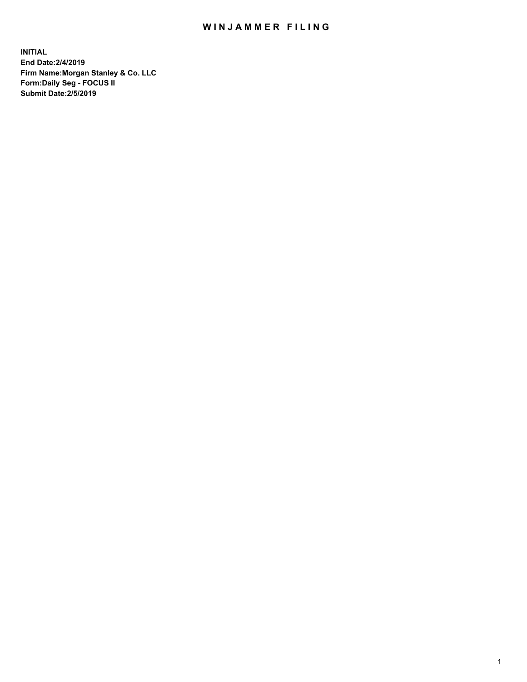## WIN JAMMER FILING

**INITIAL End Date:2/4/2019 Firm Name:Morgan Stanley & Co. LLC Form:Daily Seg - FOCUS II Submit Date:2/5/2019**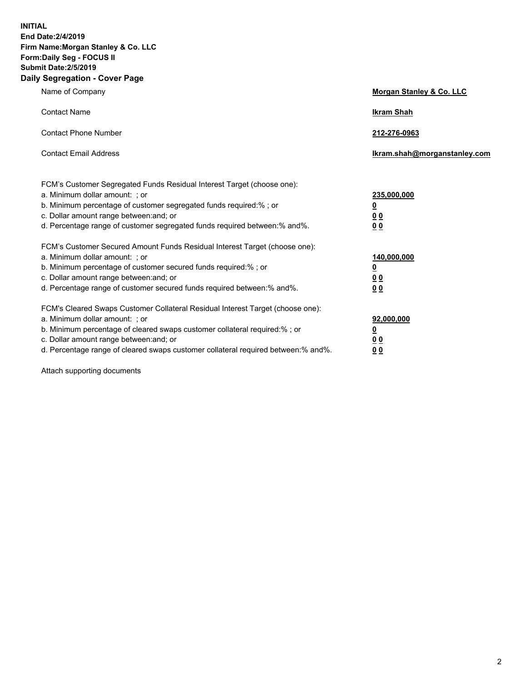**INITIAL End Date:2/4/2019 Firm Name:Morgan Stanley & Co. LLC Form:Daily Seg - FOCUS II Submit Date:2/5/2019 Daily Segregation - Cover Page**

| Name of Company                                                                                                                                                                                                                                                                                                                | Morgan Stanley & Co. LLC                                    |
|--------------------------------------------------------------------------------------------------------------------------------------------------------------------------------------------------------------------------------------------------------------------------------------------------------------------------------|-------------------------------------------------------------|
| <b>Contact Name</b>                                                                                                                                                                                                                                                                                                            | <b>Ikram Shah</b>                                           |
| <b>Contact Phone Number</b>                                                                                                                                                                                                                                                                                                    | 212-276-0963                                                |
| <b>Contact Email Address</b>                                                                                                                                                                                                                                                                                                   | Ikram.shah@morganstanley.com                                |
| FCM's Customer Segregated Funds Residual Interest Target (choose one):<br>a. Minimum dollar amount: ; or<br>b. Minimum percentage of customer segregated funds required:% ; or<br>c. Dollar amount range between: and; or<br>d. Percentage range of customer segregated funds required between: % and %.                       | 235,000,000<br><u>0</u><br>00<br>0 <sub>0</sub>             |
| FCM's Customer Secured Amount Funds Residual Interest Target (choose one):<br>a. Minimum dollar amount: ; or<br>b. Minimum percentage of customer secured funds required:%; or<br>c. Dollar amount range between: and; or<br>d. Percentage range of customer secured funds required between:% and%.                            | 140,000,000<br><u>0</u><br>0 <sub>0</sub><br>0 <sub>0</sub> |
| FCM's Cleared Swaps Customer Collateral Residual Interest Target (choose one):<br>a. Minimum dollar amount: ; or<br>b. Minimum percentage of cleared swaps customer collateral required:% ; or<br>c. Dollar amount range between: and; or<br>d. Percentage range of cleared swaps customer collateral required between:% and%. | 92,000,000<br><u>0</u><br><u>00</u><br>00                   |

Attach supporting documents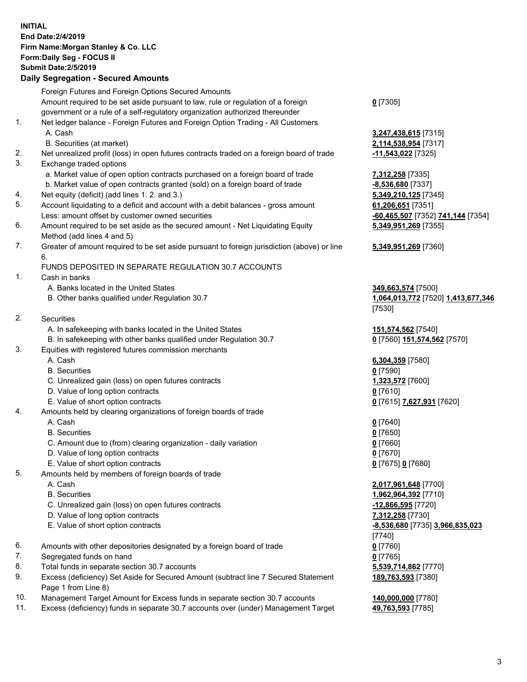| <b>INITIAL</b> | End Date: 2/4/2019<br>Firm Name: Morgan Stanley & Co. LLC<br>Form: Daily Seg - FOCUS II<br><b>Submit Date: 2/5/2019</b><br><b>Daily Segregation - Secured Amounts</b> |                                                     |
|----------------|-----------------------------------------------------------------------------------------------------------------------------------------------------------------------|-----------------------------------------------------|
|                | Foreign Futures and Foreign Options Secured Amounts                                                                                                                   |                                                     |
|                | Amount required to be set aside pursuant to law, rule or regulation of a foreign                                                                                      | $0$ [7305]                                          |
|                | government or a rule of a self-regulatory organization authorized thereunder                                                                                          |                                                     |
| 1.             | Net ledger balance - Foreign Futures and Foreign Option Trading - All Customers<br>A. Cash                                                                            | 3,247,438,615 [7315]                                |
|                | B. Securities (at market)                                                                                                                                             | 2,114,538,954 [7317]                                |
| 2.             | Net unrealized profit (loss) in open futures contracts traded on a foreign board of trade                                                                             | 11,543,022 [7325]                                   |
| 3.             | Exchange traded options                                                                                                                                               |                                                     |
|                | a. Market value of open option contracts purchased on a foreign board of trade                                                                                        | 7,312,258 [7335]                                    |
|                | b. Market value of open contracts granted (sold) on a foreign board of trade                                                                                          | -8,536,680 [7337]                                   |
| 4.             | Net equity (deficit) (add lines 1.2. and 3.)                                                                                                                          | 5,349,210,125 [7345]                                |
| 5.             | Account liquidating to a deficit and account with a debit balances - gross amount                                                                                     | 61,206,651 [7351]                                   |
| 6.             | Less: amount offset by customer owned securities                                                                                                                      | -60,465,507 [7352] 741,144 [7354]                   |
|                | Amount required to be set aside as the secured amount - Net Liquidating Equity<br>Method (add lines 4 and 5)                                                          | 5,349,951,269 [7355]                                |
| 7.             | Greater of amount required to be set aside pursuant to foreign jurisdiction (above) or line                                                                           | 5,349,951,269 [7360]                                |
|                | 6.                                                                                                                                                                    |                                                     |
|                | FUNDS DEPOSITED IN SEPARATE REGULATION 30.7 ACCOUNTS                                                                                                                  |                                                     |
| 1.             | Cash in banks                                                                                                                                                         |                                                     |
|                | A. Banks located in the United States                                                                                                                                 | 349,663,574 [7500]                                  |
|                | B. Other banks qualified under Regulation 30.7                                                                                                                        | 1,064,013,772 [7520] 1,413,677,346                  |
| 2.             | Securities                                                                                                                                                            | [7530]                                              |
|                | A. In safekeeping with banks located in the United States                                                                                                             | 151,574,562 [7540]                                  |
|                | B. In safekeeping with other banks qualified under Regulation 30.7                                                                                                    | 0 [7560] 151,574,562 [7570]                         |
| 3.             | Equities with registered futures commission merchants                                                                                                                 |                                                     |
|                | A. Cash                                                                                                                                                               | 6,304,359 [7580]                                    |
|                | <b>B.</b> Securities                                                                                                                                                  | $0$ [7590]                                          |
|                | C. Unrealized gain (loss) on open futures contracts                                                                                                                   | 1,323,572 [7600]                                    |
|                | D. Value of long option contracts                                                                                                                                     | <u>0</u> [7610]                                     |
|                | E. Value of short option contracts                                                                                                                                    | 0 [7615] 7,627,931 [7620]                           |
| 4.             | Amounts held by clearing organizations of foreign boards of trade<br>A. Cash                                                                                          | $0$ [7640]                                          |
|                | <b>B.</b> Securities                                                                                                                                                  | $0$ [7650]                                          |
|                | C. Amount due to (from) clearing organization - daily variation                                                                                                       | $0$ [7660]                                          |
|                | D. Value of long option contracts                                                                                                                                     | $0$ [7670]                                          |
|                | E. Value of short option contracts                                                                                                                                    | 0 [7675] 0 [7680]                                   |
| 5.             | Amounts held by members of foreign boards of trade                                                                                                                    |                                                     |
|                | A. Cash                                                                                                                                                               | 2,017,961,648 [7700]                                |
|                | <b>B.</b> Securities                                                                                                                                                  | 1,962,964,392 [7710]                                |
|                | C. Unrealized gain (loss) on open futures contracts                                                                                                                   | -12,866,595 [7720]                                  |
|                | D. Value of long option contracts<br>E. Value of short option contracts                                                                                               | 7,312,258 [7730]<br>-8,536,680 [7735] 3,966,835,023 |
|                |                                                                                                                                                                       | $[7740]$                                            |
| 6.             | Amounts with other depositories designated by a foreign board of trade                                                                                                | $0$ [7760]                                          |
| 7.             | Segregated funds on hand                                                                                                                                              | $0$ [7765]                                          |
| 8.             | Total funds in separate section 30.7 accounts                                                                                                                         | 5,539,714,862 [7770]                                |
| 9.             | Excess (deficiency) Set Aside for Secured Amount (subtract line 7 Secured Statement                                                                                   | 189,763,593 [7380]                                  |
|                | Page 1 from Line 8)                                                                                                                                                   |                                                     |
| 10.            | Management Target Amount for Excess funds in separate section 30.7 accounts                                                                                           | 140,000,000 [7780]                                  |

11. Excess (deficiency) funds in separate 30.7 accounts over (under) Management Target **49,763,593** [7785]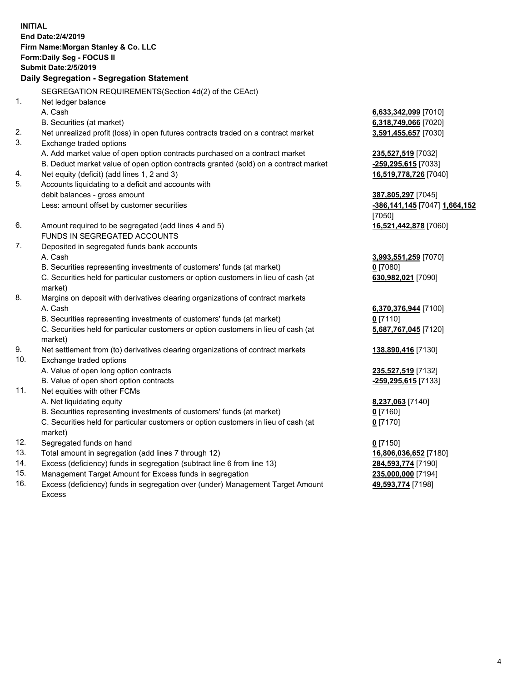**INITIAL End Date:2/4/2019 Firm Name:Morgan Stanley & Co. LLC Form:Daily Seg - FOCUS II Submit Date:2/5/2019 Daily Segregation - Segregation Statement** SEGREGATION REQUIREMENTS(Section 4d(2) of the CEAct) 1. Net ledger balance A. Cash **6,633,342,099** [7010] B. Securities (at market) **6,318,749,066** [7020] 2. Net unrealized profit (loss) in open futures contracts traded on a contract market **3,591,455,657** [7030] 3. Exchange traded options A. Add market value of open option contracts purchased on a contract market **235,527,519** [7032] B. Deduct market value of open option contracts granted (sold) on a contract market **-259,295,615** [7033] 4. Net equity (deficit) (add lines 1, 2 and 3) **16,519,778,726** [7040] 5. Accounts liquidating to a deficit and accounts with debit balances - gross amount **387,805,297** [7045] Less: amount offset by customer securities **-386,141,145** [7047] **1,664,152** [7050] 6. Amount required to be segregated (add lines 4 and 5) **16,521,442,878** [7060] FUNDS IN SEGREGATED ACCOUNTS 7. Deposited in segregated funds bank accounts A. Cash **3,993,551,259** [7070] B. Securities representing investments of customers' funds (at market) **0** [7080] C. Securities held for particular customers or option customers in lieu of cash (at market) **630,982,021** [7090] 8. Margins on deposit with derivatives clearing organizations of contract markets A. Cash **6,370,376,944** [7100] B. Securities representing investments of customers' funds (at market) **0** [7110] C. Securities held for particular customers or option customers in lieu of cash (at market) **5,687,767,045** [7120] 9. Net settlement from (to) derivatives clearing organizations of contract markets **138,890,416** [7130] 10. Exchange traded options A. Value of open long option contracts **235,527,519** [7132] B. Value of open short option contracts **-259,295,615** [7133] 11. Net equities with other FCMs A. Net liquidating equity **8,237,063** [7140] B. Securities representing investments of customers' funds (at market) **0** [7160] C. Securities held for particular customers or option customers in lieu of cash (at market) **0** [7170] 12. Segregated funds on hand **0** [7150] 13. Total amount in segregation (add lines 7 through 12) **16,806,036,652** [7180] 14. Excess (deficiency) funds in segregation (subtract line 6 from line 13) **284,593,774** [7190]

- 15. Management Target Amount for Excess funds in segregation **235,000,000** [7194]
- 16. Excess (deficiency) funds in segregation over (under) Management Target Amount Excess

**49,593,774** [7198]